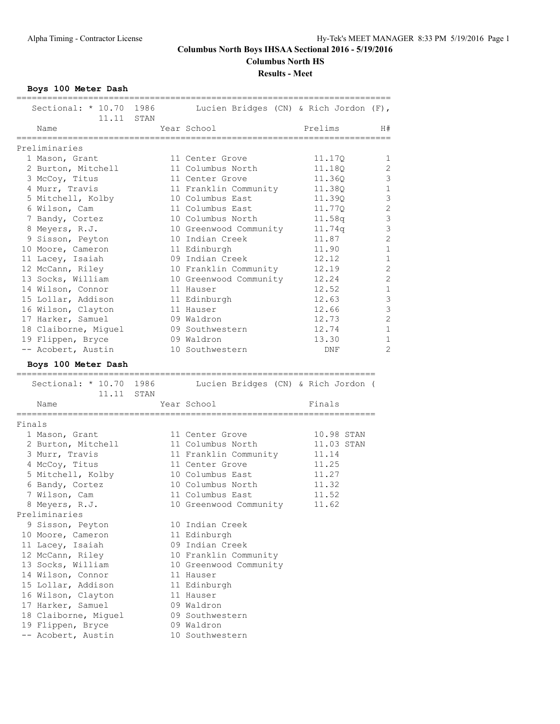# **Columbus North Boys IHSAA Sectional 2016 - 5/19/2016 Columbus North HS Results - Meet**

**Boys 100 Meter Dash**

| Sectional: * 10.70 1986<br>11.11 STAN   |  | Lucien Bridges (CN) & Rich Jordon (F),    |                 |                     |
|-----------------------------------------|--|-------------------------------------------|-----------------|---------------------|
| Name                                    |  | Year School                               | Prelims         | H#                  |
| =================                       |  |                                           |                 |                     |
| Preliminaries                           |  |                                           |                 |                     |
| 1 Mason, Grant                          |  | 11 Center Grove                           | 11.170          | 1<br>$\overline{2}$ |
| 2 Burton, Mitchell                      |  | 11 Columbus North                         | 11.180          | 3                   |
| 3 McCoy, Titus                          |  | 11 Center Grove                           | 11.36Q          |                     |
| 4 Murr, Travis                          |  | 11 Franklin Community                     | 11.38Q          | 1                   |
| 5 Mitchell, Kolby                       |  | 10 Columbus East                          | 11.390          | 3<br>$\overline{c}$ |
| 6 Wilson, Cam                           |  | 11 Columbus East                          | 11.77Q          |                     |
| 7 Bandy, Cortez                         |  | 10 Columbus North                         | 11.58q          | 3<br>3              |
| 8 Meyers, R.J.                          |  | 10 Greenwood Community<br>10 Indian Creek | 11.74q<br>11.87 | $\overline{2}$      |
| 9 Sisson, Peyton                        |  |                                           |                 | 1                   |
| 10 Moore, Cameron                       |  | 11 Edinburgh                              | 11.90           | 1                   |
| 11 Lacey, Isaiah                        |  | 09 Indian Creek                           | 12.12           | $\overline{c}$      |
| 12 McCann, Riley                        |  | 10 Franklin Community                     | 12.19           |                     |
| 13 Socks, William                       |  | 10 Greenwood Community                    | 12.24           | $\overline{c}$      |
| 14 Wilson, Connor                       |  | 11 Hauser                                 | 12.52           | $\mathbf 1$<br>3    |
| 15 Lollar, Addison                      |  | 11 Edinburgh                              | 12.63           | 3                   |
| 16 Wilson, Clayton                      |  | 11 Hauser                                 | 12.66           | $\overline{c}$      |
| 17 Harker, Samuel                       |  | 09 Waldron                                | 12.73<br>12.74  | 1                   |
| 18 Claiborne, Miguel                    |  | 09 Southwestern                           |                 |                     |
| 19 Flippen, Bryce                       |  | 09 Waldron                                | 13.30           | 1<br>2              |
| -- Acobert, Austin                      |  | 10 Southwestern                           | DNF             |                     |
| Boys 100 Meter Dash                     |  |                                           |                 |                     |
| Sectional: * 10.70 1986                 |  | Lucien Bridges (CN) & Rich Jordon (       |                 |                     |
| 11.11 STAN                              |  |                                           |                 |                     |
| Name                                    |  | Year School                               | Finals          |                     |
|                                         |  |                                           |                 |                     |
| Finals                                  |  | 11 Center Grove                           | 10.98 STAN      |                     |
| 1 Mason, Grant<br>2 Burton, Mitchell    |  | 11 Columbus North                         | 11.03 STAN      |                     |
| 3 Murr, Travis                          |  |                                           |                 |                     |
| 4 McCoy, Titus                          |  | 11 Franklin Community<br>11 Center Grove  | 11.14<br>11.25  |                     |
| 5 Mitchell, Kolby                       |  | 10 Columbus East                          | 11.27           |                     |
| 6 Bandy, Cortez                         |  | 10 Columbus North                         | 11.32           |                     |
| 7 Wilson, Cam                           |  | 11 Columbus East                          | 11.52           |                     |
| 8 Meyers, R.J.                          |  | 10 Greenwood Community                    | 11.62           |                     |
| Preliminaries                           |  |                                           |                 |                     |
| 9 Sisson, Peyton                        |  | 10 Indian Creek                           |                 |                     |
| 10 Moore, Cameron                       |  | 11 Edinburgh                              |                 |                     |
| 11 Lacey, Isaiah                        |  | 09 Indian Creek                           |                 |                     |
| 12 McCann, Riley                        |  | 10 Franklin Community                     |                 |                     |
| 13 Socks, William                       |  | 10 Greenwood Community                    |                 |                     |
| 14 Wilson, Connor                       |  | 11 Hauser                                 |                 |                     |
| 15 Lollar, Addison                      |  | 11 Edinburgh                              |                 |                     |
| 16 Wilson, Clayton                      |  | 11 Hauser                                 |                 |                     |
| 17 Harker, Samuel                       |  | 09 Waldron                                |                 |                     |
| 18 Claiborne, Miguel                    |  |                                           |                 |                     |
|                                         |  |                                           |                 |                     |
|                                         |  | 09 Southwestern                           |                 |                     |
| 19 Flippen, Bryce<br>-- Acobert, Austin |  | 09 Waldron<br>10 Southwestern             |                 |                     |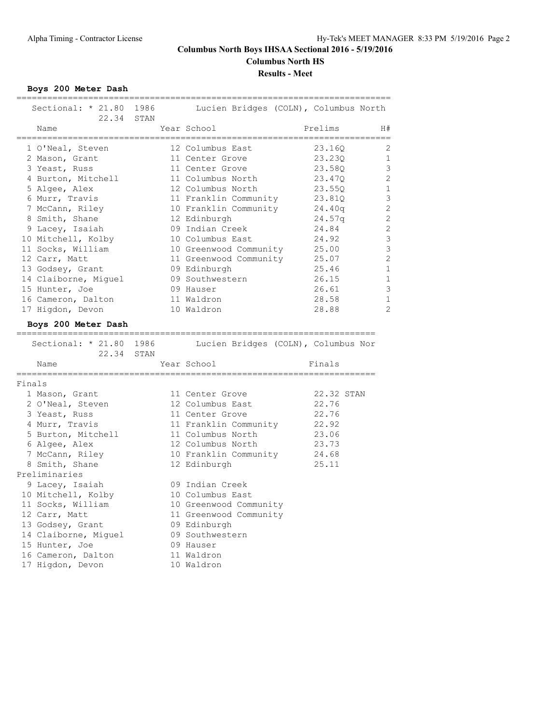# **Columbus North Boys IHSAA Sectional 2016 - 5/19/2016 Columbus North HS Results - Meet**

**Boys 200 Meter Dash**

|        |                                       |  | =====================                                       | ============================== |                  |
|--------|---------------------------------------|--|-------------------------------------------------------------|--------------------------------|------------------|
|        | Sectional: * 21.80 1986<br>22.34 STAN |  | Lucien Bridges (COLN), Columbus North                       |                                |                  |
|        | Name                                  |  | Year School                                                 | Prelims                        | H#<br>========== |
|        | 1 O'Neal, Steven                      |  | 12 Columbus East                                            | 23.160                         | $\overline{2}$   |
|        | 2 Mason, Grant                        |  | 11 Center Grove                                             | 23.23Q                         | - 1              |
|        | 3 Yeast, Russ                         |  | 11 Center Grove                                             | 23.58Q                         | 3                |
|        | 4 Burton, Mitchell                    |  | 11 Columbus North                                           | 23.47Q                         | $\overline{c}$   |
|        | 5 Algee, Alex                         |  | 12 Columbus North                                           | 23.55Q                         | 1                |
|        | 6 Murr, Travis                        |  | 11 Franklin Community 23.81Q                                |                                | 3                |
|        | 7 McCann, Riley                       |  | 10 Franklin Community                                       |                                | $\overline{c}$   |
|        | 8 Smith, Shane                        |  | 12 Edinburgh                                                | 24.40q<br>24.57q               | $\overline{2}$   |
|        | 9 Lacey, Isaiah                       |  | 09 Indian Creek                                             | 24.84                          | $\overline{c}$   |
|        | 10 Mitchell, Kolby                    |  | 10 Columbus East                                            | 24.92                          | 3                |
|        | 11 Socks, William                     |  | 10 Greenwood Community 25.00                                |                                | 3                |
|        | 12 Carr, Matt                         |  | 11 Greenwood Community                                      | 25.07                          | $\mathbf{2}$     |
|        | 13 Godsey, Grant                      |  | 09 Edinburgh                                                | 25.46                          | 1                |
|        | 14 Claiborne, Miguel                  |  | 09 Southwestern                                             | 26.15                          | 1                |
|        | 15 Hunter, Joe                        |  | 09 Hauser                                                   | 26.61                          | 3                |
|        | 16 Cameron, Dalton                    |  | 11 Waldron                                                  | 28.58                          | 1                |
|        | 17 Higdon, Devon                      |  | 10 Waldron                                                  | 28.88                          | $\overline{2}$   |
|        | Boys 200 Meter Dash                   |  |                                                             |                                |                  |
|        |                                       |  |                                                             |                                |                  |
|        |                                       |  | Sectional: * 21.80 1986 Lucien Bridges (COLN), Columbus Nor |                                |                  |
|        | 22.34 STAN<br>Name                    |  | Year School                                                 | Finals                         |                  |
|        |                                       |  |                                                             |                                |                  |
| Finals |                                       |  |                                                             |                                |                  |
|        | 1 Mason, Grant                        |  | 11 Center Grove                                             | 22.32 STAN                     |                  |
|        | 2 O'Neal, Steven                      |  | 12 Columbus East                                            | 22.76                          |                  |
|        | 3 Yeast, Russ                         |  | 11 Center Grove                                             | 22.76                          |                  |
|        | 4 Murr, Travis                        |  | 11 Franklin Community<br>11 Columbus North                  | 22.92<br>23.06                 |                  |
|        | 5 Burton, Mitchell                    |  | 12 Columbus North                                           | 23.73                          |                  |
|        | 6 Algee, Alex<br>7 McCann, Riley      |  |                                                             | 24.68                          |                  |
|        | 8 Smith, Shane                        |  | 10 Franklin Community                                       | 25.11                          |                  |
|        | Preliminaries                         |  | 12 Edinburgh                                                |                                |                  |
|        | 9 Lacey, Isaiah                       |  | 09 Indian Creek                                             |                                |                  |
|        | 10 Mitchell, Kolby                    |  | 10 Columbus East                                            |                                |                  |
|        | 11 Socks, William                     |  | 10 Greenwood Community                                      |                                |                  |
|        | 12 Carr, Matt                         |  | 11 Greenwood Community                                      |                                |                  |
|        | 13 Godsey, Grant                      |  | 09 Edinburgh                                                |                                |                  |
|        | 14 Claiborne, Miquel                  |  | 09 Southwestern                                             |                                |                  |
|        | 15 Hunter, Joe                        |  | 09 Hauser                                                   |                                |                  |
|        | 16 Cameron, Dalton                    |  | 11 Waldron                                                  |                                |                  |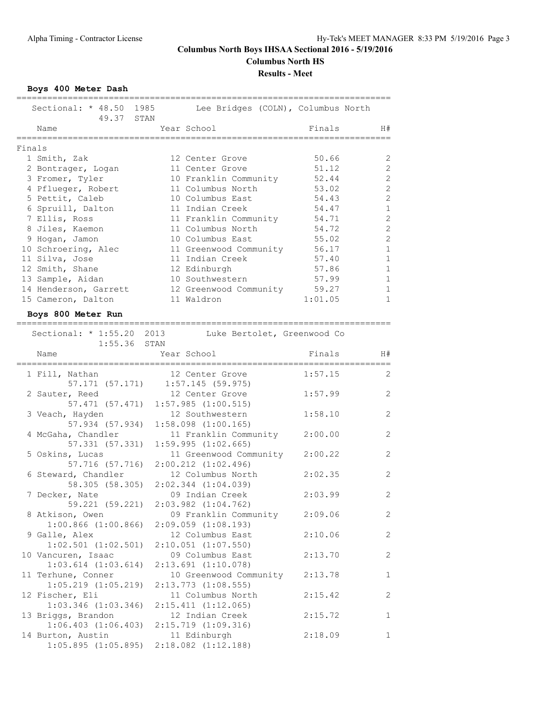### **Columbus North Boys IHSAA Sectional 2016 - 5/19/2016 Columbus North HS**

**Results - Meet**

**Boys 400 Meter Dash**

|        | Sectional: * 48.50 1985<br>49.37 STAN |  | Lee Bridges (COLN), Columbus North |         |                |
|--------|---------------------------------------|--|------------------------------------|---------|----------------|
|        | Name                                  |  | Year School                        | Finals  | H#             |
| Finals |                                       |  |                                    |         |                |
|        | 1 Smith, Zak                          |  | 12 Center Grove                    | 50.66   | $\overline{2}$ |
|        | 2 Bontrager, Logan                    |  | 11 Center Grove                    | 51.12   | $\overline{c}$ |
|        | 3 Fromer, Tyler                       |  | 10 Franklin Community              | 52.44   | $\overline{c}$ |
|        | 4 Pflueger, Robert                    |  | 11 Columbus North                  | 53.02   | $\overline{c}$ |
|        | 5 Pettit, Caleb                       |  | 10 Columbus East                   | 54.43   | $\overline{c}$ |
|        | 6 Spruill, Dalton                     |  | 11 Indian Creek                    | 54.47   | $1\,$          |
|        | 7 Ellis, Ross                         |  | 11 Franklin Community 54.71        |         | $\overline{c}$ |
|        | 8 Jiles, Kaemon                       |  | 11 Columbus North                  | 54.72   | $\overline{c}$ |
|        | 9 Hogan, Jamon                        |  | 10 Columbus East                   | 55.02   | $\overline{2}$ |
|        | 10 Schroering, Alec                   |  | 11 Greenwood Community             | 56.17   | $\mathbf{1}$   |
|        | 11 Silva, Jose                        |  | 11 Indian Creek                    | 57.40   | $\mathbf{1}$   |
|        | 12 Smith, Shane                       |  | 12 Edinburgh                       | 57.86   | $\mathbf{1}$   |
|        | 13 Sample, Aidan                      |  | 10 Southwestern                    | 57.99   | $\mathbf 1$    |
|        | 14 Henderson, Garrett                 |  | 12 Greenwood Community             | 59.27   | $\mathbf{1}$   |
|        | 15 Cameron, Dalton                    |  | 11 Waldron                         | 1:01.05 | 1              |

### **Boys 800 Meter Run**

|                    | Sectional: * 1:55.20 2013 Luke Bertolet, Greenwood Co<br>$1:55.36$ STAN                                                |         |                |
|--------------------|------------------------------------------------------------------------------------------------------------------------|---------|----------------|
| Name               | Year School                                                                                                            | Finals  | H#             |
| 1 Fill, Nathan     | 12 Center Grove                                                                                                        | 1:57.15 | 2              |
|                    | 57.171 (57.171) 1:57.145 (59.975)<br>2 Sauter, Reed 12 Center Grove                                                    | 1:57.99 | $\overline{2}$ |
|                    | 57.471 (57.471) 1:57.985 (1:00.515)<br>3 Veach, Hayden 12 Southwestern                                                 | 1:58.10 | $\overline{2}$ |
|                    | 57.934 (57.934) 1:58.098 (1:00.165)<br>4 McGaha, Chandler 11 Franklin Community<br>57.331 (57.331) 1:59.995 (1:02.665) | 2:00.00 | $\overline{2}$ |
| 5 Oskins, Lucas    | 11 Greenwood Community<br>57.716 (57.716) 2:00.212 (1:02.496)                                                          | 2:00.22 | $\overline{2}$ |
|                    | 6 Steward, Chandler 12 Columbus North<br>58.305 (58.305) 2:02.344 (1:04.039)                                           | 2:02.35 | $\overline{2}$ |
| 7 Decker, Nate     | 09 Indian Creek<br>59.221 (59.221) 2:03.982 (1:04.762)                                                                 | 2:03.99 | $\overline{2}$ |
|                    | 8 Atkison, Owen 69 Franklin Community<br>$1:00.866$ $(1:00.866)$ $2:09.059$ $(1:08.193)$                               | 2:09.06 | $\overline{2}$ |
| 9 Galle, Alex      | 12 Columbus East<br>$1:02.501$ $(1:02.501)$ $2:10.051$ $(1:07.550)$                                                    | 2:10.06 | $\overline{2}$ |
| 10 Vancuren, Isaac | 09 Columbus East<br>$1:03.614$ $(1:03.614)$ $2:13.691$ $(1:10.078)$                                                    | 2:13.70 | $\overline{2}$ |
| 11 Terhune, Conner | 10 Greenwood Community 2:13.78<br>$1:05.219$ $(1:05.219)$ $2:13.773$ $(1:08.555)$                                      |         | $\mathbf{1}$   |
|                    | 12 Fischer, Eli 11 Columbus North<br>$1:03.346$ $(1:03.346)$ $2:15.411$ $(1:12.065)$                                   | 2:15.42 | $\overline{2}$ |
| 13 Briggs, Brandon | 12 Indian Creek<br>$1:06.403$ $(1:06.403)$ $2:15.719$ $(1:09.316)$                                                     | 2:15.72 | $\mathbf{1}$   |
| 14 Burton, Austin  | 11 Edinburgh<br>$1:05.895$ $(1:05.895)$ $2:18.082$ $(1:12.188)$                                                        | 2:18.09 | $\mathbf{1}$   |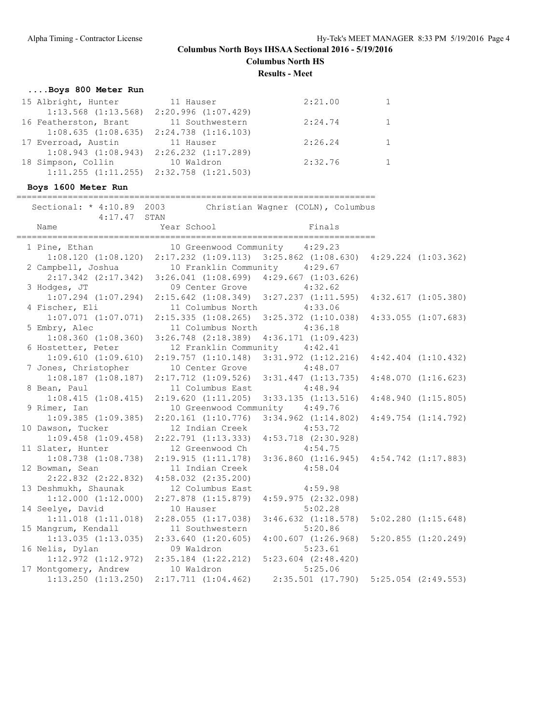**Columbus North HS**

**Results - Meet**

### **....Boys 800 Meter Run**

| 15 Albright, Hunter                             | 11 Hauser       | 2:21.00 |               |
|-------------------------------------------------|-----------------|---------|---------------|
| $1:13.568$ $(1:13.568)$ $2:20.996$ $(1:07.429)$ |                 |         |               |
| 16 Featherston, Brant                           | 11 Southwestern | 2:24.74 | $\mathbf{1}$  |
| $1:08.635$ $(1:08.635)$ $2:24.738$ $(1:16.103)$ |                 |         |               |
| 17 Everroad, Austin                             | 11 Hauser       | 2:26.24 | $\frac{1}{2}$ |
| $1:08.943$ $(1:08.943)$ $2:26.232$ $(1:17.289)$ |                 |         |               |
| 18 Simpson, Collin                              | 10 Waldron      | 2:32.76 |               |
| $1:11.255$ $(1:11.255)$ $2:32.758$ $(1:21.503)$ |                 |         |               |

### **Boys 1600 Meter Run**

| Sectional: * 4:10.89 2003<br>$4:17.47$ STAN |                                                 | Christian Wagner (COLN), Columbus                                       |                                           |
|---------------------------------------------|-------------------------------------------------|-------------------------------------------------------------------------|-------------------------------------------|
| Name                                        | Year School                                     | Finals                                                                  |                                           |
| 1 Pine, Ethan<br>1:08.120(1:08.120)         | 10 Greenwood Community 4:29.23                  | $2:17.232$ $(1:09.113)$ $3:25.862$ $(1:08.630)$                         |                                           |
| 2 Campbell, Joshua                          | 10 Franklin Community 4:29.67                   |                                                                         | $4:29.224$ $(1:03.362)$                   |
| $2:17.342$ $(2:17.342)$                     | $3:26.041$ $(1:08.699)$ $4:29.667$ $(1:03.626)$ |                                                                         |                                           |
| 3 Hodges, JT                                | 09 Center Grove                                 | 4:32.62                                                                 |                                           |
| $1:07.294$ $(1:07.294)$                     |                                                 | $2:15.642$ $(1:08.349)$ $3:27.237$ $(1:11.595)$ $4:32.617$ $(1:05.380)$ |                                           |
| 4 Fischer, Eli                              | 11 Columbus North                               | 4:33.06                                                                 |                                           |
| $1:07.071$ $(1:07.071)$                     |                                                 | 2:15.335 (1:08.265) 3:25.372 (1:10.038) 4:33.055 (1:07.683)             |                                           |
| 5 Embry, Alec                               | 11 Columbus North                               | 4:36.18                                                                 |                                           |
| $1:08.360$ $(1:08.360)$                     | $3:26.748$ $(2:18.389)$                         | 4:36.171(1:09.423)                                                      |                                           |
| 6 Hostetter, Peter                          | 12 Franklin Community 4:42.41                   |                                                                         |                                           |
| 1:09.610(1:09.610)                          | 2:19.757(1:10.148)                              | $3:31.972$ $(1:12.216)$                                                 | $4:42.404$ $(1:10.432)$                   |
| 7 Jones, Christopher                        | 10 Center Grove                                 | 4:48.07                                                                 |                                           |
| $1:08.187$ $(1:08.187)$                     | $2:17.712$ $(1:09.526)$                         | $3:31.447$ $(1:13.735)$                                                 | 4:48.070(1:16.623)                        |
| 8 Bean, Paul                                | 11 Columbus East                                | 4:48.94                                                                 |                                           |
| 1:08.415(1:08.415)                          | 2:19.620(1:11.205)                              | $3:33.135$ $(1:13.516)$                                                 | 4:48.940(1:15.805)                        |
| 9 Rimer, Ian                                | 10 Greenwood Community 4:49.76                  |                                                                         |                                           |
| $1:09.385$ $(1:09.385)$                     | $2:20.161$ $(1:10.776)$                         | $3:34.962$ $(1:14.802)$                                                 | $4:49.754$ $(1:14.792)$                   |
| 10 Dawson, Tucker                           | 12 Indian Creek                                 | 4:53.72                                                                 |                                           |
| $1:09.458$ $(1:09.458)$                     | $2:22.791$ $(1:13.333)$                         | $4:53.718$ $(2:30.928)$                                                 |                                           |
| 11 Slater, Hunter                           | 12 Greenwood Ch                                 | 4:54.75                                                                 |                                           |
| $1:08.738$ $(1:08.738)$                     | 2:19.915(1:11.178)                              | $3:36.860$ $(1:16.945)$ $4:54.742$ $(1:17.883)$                         |                                           |
| 12 Bowman, Sean                             | 11 Indian Creek                                 | 4:58.04                                                                 |                                           |
| $2:22.832$ $(2:22.832)$                     | $4:58.032$ $(2:35.200)$                         |                                                                         |                                           |
| 13 Deshmukh, Shaunak                        | 12 Columbus East                                | 4:59.98                                                                 |                                           |
| 1:12.000(1:12.000)                          | $2:27.878$ $(1:15.879)$                         | 4:59.975(2:32.098)                                                      |                                           |
| 14 Seelye, David                            | 10 Hauser                                       | 5:02.28                                                                 |                                           |
| $1:11.018$ $(1:11.018)$                     | $2:28.055$ $(1:17.038)$                         | $3:46.632$ $(1:18.578)$ $5:02.280$ $(1:15.648)$                         |                                           |
| 15 Mangrum, Kendall                         | 11 Southwestern                                 | 5:20.86                                                                 |                                           |
| $1:13.035$ $(1:13.035)$                     | 2:33.640(1:20.605)                              | $4:00.607$ $(1:26.968)$ $5:20.855$ $(1:20.249)$                         |                                           |
| 16 Nelis, Dylan                             | 09 Waldron                                      | 5:23.61                                                                 |                                           |
| $1:12.972$ $(1:12.972)$                     | $2:35.184$ $(1:22.212)$ $5:23.604$ $(2:48.420)$ |                                                                         |                                           |
| 17 Montgomery, Andrew                       | 10 Waldron                                      | 5:25.06                                                                 |                                           |
| $1:13.250$ $(1:13.250)$                     | $2:17.711$ $(1:04.462)$                         |                                                                         | $2:35.501$ (17.790) $5:25.054$ (2:49.553) |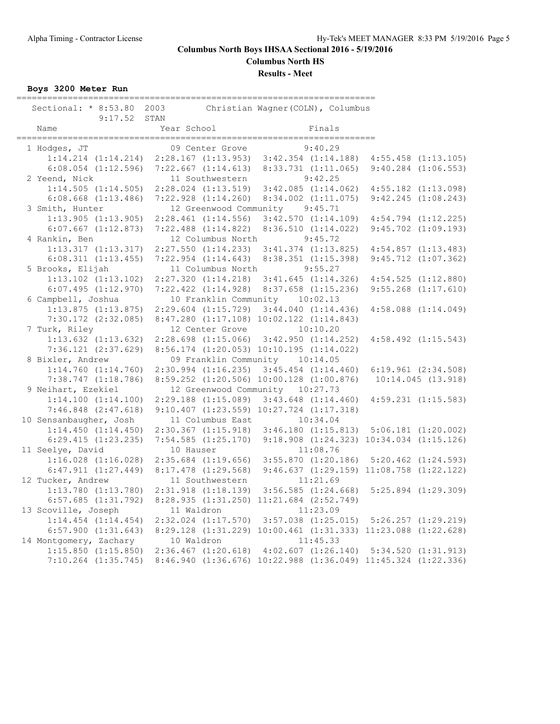**Columbus North HS**

**Results - Meet**

**Boys 3200 Meter Run**

| Sectional: * 8:53.80 2003 |             |                                                                                          | Christian Wagner (COLN), Columbus                |                         |
|---------------------------|-------------|------------------------------------------------------------------------------------------|--------------------------------------------------|-------------------------|
| 9:17.52 STAN<br>Name      | Year School |                                                                                          | Finals                                           |                         |
| 1 Hodges, JT              |             | 09 Center Grove                                                                          | 9:40.29                                          |                         |
| $1:14.214$ $(1:14.214)$   |             | $2:28.167$ $(1:13.953)$ $3:42.354$ $(1:14.188)$                                          |                                                  | $4:55.458$ $(1:13.105)$ |
| $6:08.054$ $(1:12.596)$   |             | $7:22.667$ $(1:14.613)$                                                                  | $8:33.731$ $(1:11.065)$                          | $9:40.284$ $(1:06.553)$ |
| 2 Yeend, Nick             |             | 11 Southwestern                                                                          | 9:42.25                                          |                         |
| 1:14.505(1:14.505)        |             | $2:28.024$ $(1:13.519)$                                                                  | $3:42.085$ $(1:14.062)$ $4:55.182$ $(1:13.098)$  |                         |
| $6:08.668$ $(1:13.486)$   |             | $7:22.928$ $(1:14.260)$                                                                  | $8:34.002$ $(1:11.075)$                          | $9:42.245$ $(1:08.243)$ |
| 3 Smith, Hunter           |             | 12 Greenwood Community 9:45.71                                                           |                                                  |                         |
| $1:13.905$ $(1:13.905)$   |             | $2:28.461$ $(1:14.556)$                                                                  | 3:42.570(1:14.109)                               | $4:54.794$ $(1:12.225)$ |
| $6:07.667$ $(1:12.873)$   |             | $7:22.488$ $(1:14.822)$                                                                  | 8:36.510(1:14.022)                               | $9:45.702$ $(1:09.193)$ |
| 4 Rankin, Ben             |             | 12 Columbus North                                                                        | 9:45.72                                          |                         |
| $1:13.317$ $(1:13.317)$   |             | $2:27.550$ $(1:14.233)$                                                                  | $3:41.374$ $(1:13.825)$                          | 4:54.857(1:13.483)      |
| $6:08.311$ $(1:13.455)$   |             | $7:22.954$ $(1:14.643)$                                                                  | 8:38.351 (1:15.398)                              | $9:45.712$ $(1:07.362)$ |
| 5 Brooks, Elijah          |             | 11 Columbus North                                                                        | 9:55.27                                          |                         |
| $1:13.102$ $(1:13.102)$   |             | 2:27.320(1:14.218)                                                                       | $3:41.645$ $(1:14.326)$                          | $4:54.525$ $(1:12.880)$ |
| 6:07.495(1:12.970)        |             | $7:22.422$ $(1:14.928)$                                                                  | $8:37.658$ $(1:15.236)$                          | $9:55.268$ $(1:17.610)$ |
| 6 Campbell, Joshua        |             | 10 Franklin Community 10:02.13                                                           |                                                  |                         |
| $1:13.875$ $(1:13.875)$   |             | $2:29.604$ $(1:15.729)$ $3:44.040$ $(1:14.436)$                                          |                                                  | $4:58.088$ $(1:14.049)$ |
| $7:30.172$ $(2:32.085)$   |             | $8:47.280$ $(1:17.108)$ $10:02.122$ $(1:14.843)$                                         |                                                  |                         |
| 7 Turk, Riley             |             | 12 Center Grove                                                                          | 10:10.20                                         |                         |
| $1:13.632$ $(1:13.632)$   |             | $2:28.698$ $(1:15.066)$ $3:42.950$ $(1:14.252)$                                          |                                                  | $4:58.492$ $(1:15.543)$ |
| $7:36.121$ $(2:37.629)$   |             | $8:56.174$ $(1:20.053)$ $10:10.195$ $(1:14.022)$                                         |                                                  |                         |
| 8 Bixler, Andrew          |             | 09 Franklin Community 10:14.05                                                           |                                                  |                         |
| 1:14.760(1:14.760)        |             | $2:30.994$ $(1:16.235)$ $3:45.454$ $(1:14.460)$                                          |                                                  | $6:19.961$ $(2:34.508)$ |
| 7:38.747(1:18.786)        |             | 8:59.252 (1:20.506) 10:00.128 (1:00.876)                                                 |                                                  | 10:14.045(13.918)       |
| 9 Neihart, Ezekiel        |             | 12 Greenwood Community 10:27.73                                                          |                                                  |                         |
| 1:14.100(1:14.100)        |             | $2:29.188$ $(1:15.089)$ $3:43.648$ $(1:14.460)$                                          |                                                  | $4:59.231$ $(1:15.583)$ |
| $7:46.848$ $(2:47.618)$   |             | 9:10.407 (1:23.559) 10:27.724 (1:17.318)                                                 |                                                  |                         |
| 10 Sensanbaugher, Josh    |             | 11 Columbus East                                                                         | 10:34.04                                         |                         |
| $1:14.450$ $(1:14.450)$   |             | $2:30.367$ $(1:15.918)$ $3:46.180$ $(1:15.813)$                                          |                                                  | $5:06.181$ $(1:20.002)$ |
| $6:29.415$ $(1:23.235)$   |             | 7:54.585 (1:25.170) 9:18.908 (1:24.323) 10:34.034 (1:15.126)                             |                                                  |                         |
| 11 Seelye, David          | 10 Hauser   |                                                                                          | 11:08.76                                         |                         |
| $1:16.028$ $(1:16.028)$   |             | 2:35.684 (1:19.656) 3:55.870 (1:20.186) 5:20.462 (1:24.593)                              |                                                  |                         |
| $6:47.911$ $(1:27.449)$   |             | $8:17.478$ $(1:29.568)$                                                                  | $9:46.637$ $(1:29.159)$ $11:08.758$ $(1:22.122)$ |                         |
| 12 Tucker, Andrew         |             | 11 Southwestern                                                                          | 11:21.69                                         |                         |
| $1:13.780$ $(1:13.780)$   |             | $2:31.918$ $(1:18.139)$                                                                  | $3:56.585$ $(1:24.668)$ $5:25.894$ $(1:29.309)$  |                         |
| $6:57.685$ $(1:31.792)$   |             | $8:28.935$ $(1:31.250)$ $11:21.684$ $(2:52.749)$                                         |                                                  |                         |
| 13 Scoville, Joseph       | 11 Waldron  |                                                                                          | 11:23.09                                         |                         |
| $1:14.454$ $(1:14.454)$   |             | $2:32.024$ $(1:17.570)$                                                                  | $3:57.038$ $(1:25.015)$ $5:26.257$ $(1:29.219)$  |                         |
| $6:57.900$ $(1:31.643)$   |             | 8:29.128 (1:31.229) 10:00.461 (1:31.333) 11:23.088 (1:22.628)                            |                                                  |                         |
| 14 Montgomery, Zachary    | 10 Waldron  |                                                                                          | 11:45.33                                         |                         |
| $1:15.850$ $(1:15.850)$   |             | $2:36.467$ $(1:20.618)$<br>8:46.940 (1:36.676) 10:22.988 (1:36.049) 11:45.324 (1:22.336) | $4:02.607$ $(1:26.140)$ $5:34.520$ $(1:31.913)$  |                         |
| $7:10.264$ $(1:35.745)$   |             |                                                                                          |                                                  |                         |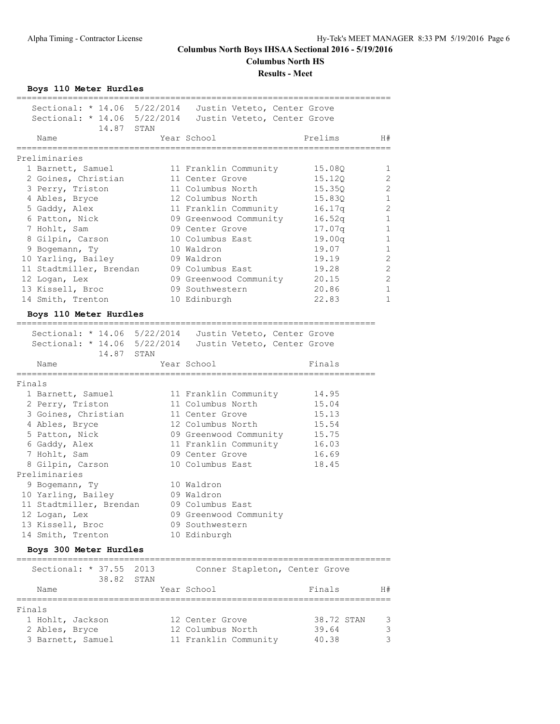## **Columbus North Boys IHSAA Sectional 2016 - 5/19/2016 Columbus North HS Results - Meet**

**Boys 110 Meter Hurdles**

|                                                                                                                      | Sectional: * 14.06 5/22/2014 Justin Veteto, Center Grove |
|----------------------------------------------------------------------------------------------------------------------|----------------------------------------------------------|
|                                                                                                                      | Sectional: * 14.06 5/22/2014 Justin Veteto, Center Grove |
| 14.87 STAN                                                                                                           |                                                          |
| Name                                                                                                                 | Year School<br>Prelims<br>H#                             |
|                                                                                                                      |                                                          |
| Preliminaries                                                                                                        |                                                          |
| 1 Barnett, Samuel                                                                                                    | 11 Franklin Community<br>11 Center Crown<br>15.08Q<br>1  |
| 2 Goines, Christian                                                                                                  | $\mathbf{2}$<br>11 Center Grove<br>15.12Q                |
| 3 Perry, Triston                                                                                                     | 2<br>11 Columbus North<br>15.35Q                         |
| 4 Ables, Bryce<br>5 Gaddy, Alex                                                                                      | $\mathbf{1}$<br>12 Columbus North<br>15.83Q              |
|                                                                                                                      | 11 Franklin Community 16.17q<br>2                        |
| 6 Patton, Nick                                                                                                       | 09 Greenwood Community 16.52q<br>1                       |
| 7 Hohlt, Sam                                                                                                         | 09 Center Grove<br>1<br>17.07q                           |
| 8 Gilpin, Carson                                                                                                     | 10 Columbus East<br>1<br>19.00q                          |
| 9 Bogemann, Ty                                                                                                       | $\mathbf 1$<br>10 Waldron<br>19.07                       |
| 10 Yarling, Bailey                                                                                                   | $\mathbf{2}$<br>19.19<br>09 Waldron                      |
| 11 Stadtmiller, Brendan                                                                                              | $\sqrt{2}$<br>09 Columbus East<br>19.28                  |
| 12 Logan, Lex                                                                                                        | 09 Greenwood Community 20.15<br>2                        |
| 13 Kissell, Broc                                                                                                     | 09 Southwestern<br>1<br>20.86                            |
| 14 Smith, Trenton                                                                                                    | 22.83<br>1<br>10 Edinburgh                               |
| Boys 110 Meter Hurdles                                                                                               |                                                          |
|                                                                                                                      |                                                          |
| Sectional: * 14.06 5/22/2014 Justin Veteto, Center Grove<br>Sectional: * 14.06 5/22/2014 Justin Veteto, Center Grove |                                                          |
|                                                                                                                      |                                                          |
| 14.87 STAN                                                                                                           |                                                          |
| Year School<br>Name                                                                                                  | Finals                                                   |
| Finals                                                                                                               |                                                          |
| 1 Barnett, Samuel                                                                                                    | 11 Franklin Community 14.95                              |
| 2 Perry, Triston                                                                                                     | 11 Columbus North<br>15.04                               |
| 3 Goines, Christian                                                                                                  | 11 Center Grove<br>15.13                                 |
| 4 Ables, Bryce                                                                                                       | 12 Columbus North<br>15.54                               |
| 5 Patton, Nick                                                                                                       | 15.75<br>09 Greenwood Community                          |
| 6 Gaddy, Alex                                                                                                        | 11 Franklin Community 16.03                              |
| 7 Hohlt, Sam                                                                                                         | 16.69                                                    |
| 8 Gilpin, Carson                                                                                                     | US Center Grove<br>10 Columbus East<br>18.45             |
| Preliminaries                                                                                                        |                                                          |
| 9 Bogemann, Ty                                                                                                       | 10 Waldron                                               |
| 10 Yarling, Bailey                                                                                                   | 09 Waldron                                               |
|                                                                                                                      |                                                          |
| 11 Stadtmiller, Brendan<br>12 Logan, Lex<br>12 Logan, Lex                                                            | 09 Columbus East<br>09 Greenwood Community               |
| 13 Kissell, Broc                                                                                                     | 09 Southwestern                                          |
| 14 Smith, Trenton                                                                                                    | 10 Edinburgh                                             |
| Boys 300 Meter Hurdles                                                                                               |                                                          |
|                                                                                                                      |                                                          |
| 0.012                                                                                                                |                                                          |

| Sectional: * 37.55 2013 | 38.82 | STAN | Conner Stapleton, Center Grove |            |    |
|-------------------------|-------|------|--------------------------------|------------|----|
| Name                    |       |      | Year School                    | Finals     | H# |
| Finals                  |       |      |                                |            |    |
| 1 Hohlt, Jackson        |       |      | 12 Center Grove                | 38.72 STAN | 3  |
| 2 Ables, Bryce          |       |      | 12 Columbus North              | 39.64      | 3  |
| 3 Barnett, Samuel       |       |      | 11 Franklin Community          | 40.38      | 3  |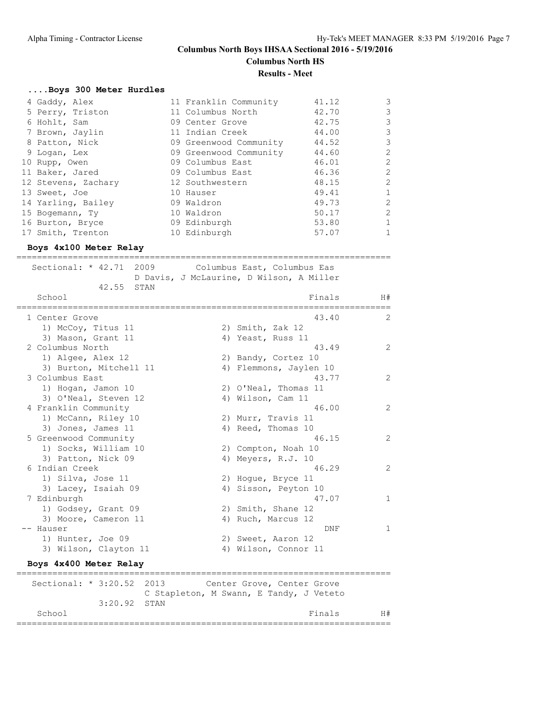# **Columbus North Boys IHSAA Sectional 2016 - 5/19/2016 Columbus North HS**

**Results - Meet**

#### **....Boys 300 Meter Hurdles**

| 4 Gaddy, Alex       | 11 Franklin Community  | 41.12 | 3              |
|---------------------|------------------------|-------|----------------|
| 5 Perry, Triston    | 11 Columbus North      | 42.70 | 3              |
| 6 Hohlt, Sam        | 09 Center Grove        | 42.75 | 3              |
| 7 Brown, Jaylin     | 11 Indian Creek        | 44.00 | 3              |
| 8 Patton, Nick      | 09 Greenwood Community | 44.52 | 3              |
| 9 Logan, Lex        | 09 Greenwood Community | 44.60 | $\mathfrak{D}$ |
| 10 Rupp, Owen       | 09 Columbus East       | 46.01 | 2              |
| 11 Baker, Jared     | 09 Columbus East       | 46.36 | $\mathcal{L}$  |
| 12 Stevens, Zachary | 12 Southwestern        | 48.15 | $\mathcal{L}$  |
| 13 Sweet, Joe       | 10 Hauser              | 49.41 |                |
| 14 Yarling, Bailey  | 09 Waldron             | 49.73 | $\mathcal{L}$  |
| 15 Bogemann, Ty     | 10 Waldron             | 50.17 | $\mathcal{L}$  |
| 16 Burton, Bryce    | 09 Edinburgh           | 53.80 |                |
| 17 Smith, Trenton   | 10 Edinburgh           | 57.07 |                |

#### **Boys 4x100 Meter Relay**

========================================================================= Sectional: \* 42.71 2009 Columbus East, Columbus Eas D Davis, J McLaurine, D Wilson, A Miller 42.55 STAN School Finals H# ========================================================================= 1 Center Grove<br>
1 McCoy, Titus 11 2 Smith, Zak 12<br>
2 Smith, Zak 12<br>
4 Yeast, Russ 11 1) McCoy, Titus 11 2) Smith, Zak 12 3) Mason, Grant 11 4) Yeast, Russ 11 2 Columbus North 43.49 2 1) Algee, Alex 12 2) Bandy, Cortez 10 3) Burton, Mitchell 11 4) Flemmons, Jaylen 10 3 Columbus East 43.77 2<br>
1) Hogan, Jamon 10 2) O'Neal, Thomas 11<br>
3) O'Neal, Steven 12 4) Wilson, Cam 11 1) Hogan, Jamon 10 2) O'Neal, Thomas 11 3) O'Neal, Steven 12 4) Wilson, Cam 11 4 Franklin Community 3 and 46.00 2 1) McCann, Riley 10 2) Murr, Travis 11 3) Jones, James 11 4) Reed, Thomas 10 5 Greenwood Community 46.15 2 1) Socks, William 10 2) Compton, Noah 10 3) Patton, Nick 09 4) Meyers, R.J. 10 6 Indian Creek 46.29 2 1) Silva, Jose 11 2) Hogue, Bryce 11 3) Lacey, Isaiah 09 1988 - 40 Sisson, Peyton 10 7 Edinburgh 1986 – 1987 – 1988 – 1988 – 1988 – 1988 – 1988 – 1988 – 1988 – 1988 – 1988 – 1988 – 1988 – 1988 – 1 1) Godsey, Grant 09 2) Smith, Shane 12 3) Moore, Cameron 11 4) Ruch, Marcus 12 -- Hauser DNF 1 1) Hunter, Joe 09 2) Sweet, Aaron 12 3) Wilson, Clayton 11 (4) Wilson, Connor 11 **Boys 4x400 Meter Relay** ========================================================================= Sectional: \* 3:20.52 2013 Center Grove, Center Grove

 C Stapleton, M Swann, E Tandy, J Veteto 3:20.92 STAN School Finals H# =========================================================================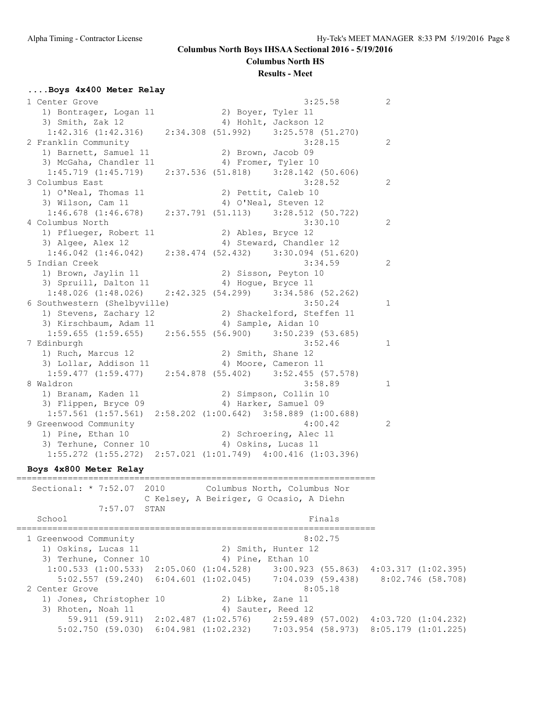**Columbus North HS**

#### **Results - Meet**

#### **....Boys 4x400 Meter Relay**

| 1 Center Grove                                                | 3:25.58                                 | 2 |
|---------------------------------------------------------------|-----------------------------------------|---|
| 1) Bontrager, Logan 11                                        | 2) Boyer, Tyler 11                      |   |
| 3) Smith, Zak 12                                              | 4) Hohlt, Jackson 12                    |   |
| 1:42.316 (1:42.316) 2:34.308 (51.992) 3:25.578 (51.270)       |                                         |   |
| 2 Franklin Community                                          | 3:28.15                                 | 2 |
| 1) Barnett, Samuel 11                                         | 2) Brown, Jacob 09                      |   |
| 3) McGaha, Chandler 11                                        | 4) Fromer, Tyler 10                     |   |
| 1:45.719 (1:45.719) 2:37.536 (51.818) 3:28.142 (50.606)       |                                         |   |
| 3 Columbus East                                               | 3:28.52                                 | 2 |
| 1) O'Neal, Thomas 11                                          | 2) Pettit, Caleb 10                     |   |
| 3) Wilson, Cam 11                                             | 4) O'Neal, Steven 12                    |   |
| 1:46.678 (1:46.678) 2:37.791 (51.113) 3:28.512 (50.722)       |                                         |   |
| 4 Columbus North                                              | 3:30.10                                 | 2 |
| 1) Pflueger, Robert 11                                        | 2) Ables, Bryce 12                      |   |
| 3) Algee, Alex 12                                             | 4) Steward, Chandler 12                 |   |
| $1:46.042$ (1:46.042) 2:38.474 (52.432) 3:30.094 (51.620)     |                                         |   |
| 5 Indian Creek                                                | 3:34.59                                 | 2 |
| 1) Brown, Jaylin 11                                           | 2) Sisson, Peyton 10                    |   |
| 3) Spruill, Dalton 11                                         | 4) Hogue, Bryce 11                      |   |
| 1:48.026 (1:48.026) 2:42.325 (54.299) 3:34.586 (52.262)       |                                         |   |
| 6 Southwestern (Shelbyville)                                  | 3:50.24                                 | 1 |
| 1) Stevens, Zachary 12                                        | 2) Shackelford, Steffen 11              |   |
| 3) Kirschbaum, Adam 11 (4) Sample, Aidan 10                   |                                         |   |
| $1:59.655$ (1:59.655) 2:56.555 (56.900) 3:50.239 (53.685)     |                                         |   |
| 7 Edinburgh                                                   | 3:52.46                                 | 1 |
| 1) Ruch, Marcus 12                                            | 2) Smith, Shane 12                      |   |
| 3) Lollar, Addison 11                                         | 4) Moore, Cameron 11                    |   |
| $1:59.477$ (1:59.477) $2:54.878$ (55.402) $3:52.455$ (57.578) |                                         |   |
| 8 Waldron                                                     | 3:58.89                                 | 1 |
| 1) Branam, Kaden 11                                           | 2) Simpson, Collin 10                   |   |
| 3) Flippen, Bryce 09                                          | 4) Harker, Samuel 09                    |   |
| $1:57.561$ $(1:57.561)$                                       | 2:58.202 (1:00.642) 3:58.889 (1:00.688) |   |
| 9 Greenwood Community                                         | 4:00.42                                 | 2 |
| 1) Pine, Ethan 10                                             | 2) Schroering, Alec 11                  |   |
| 3) Terhune, Conner 10                                         | 4) Oskins, Lucas 11                     |   |
| 1:55.272 (1:55.272) 2:57.021 (1:01.749) 4:00.416 (1:03.396)   |                                         |   |

#### **Boys 4x800 Meter Relay**

====================================================================== Sectional: \* 7:52.07 2010 Columbus North, Columbus Nor C Kelsey, A Beiriger, G Ocasio, A Diehn 7:57.07 STAN School Finals ====================================================================== 1 Greenwood Community 8:02.75 1) Oskins, Lucas 11 2) Smith, Hunter 12 3) Terhune, Conner 10 4) Pine, Ethan 10 1:00.533 (1:00.533) 2:05.060 (1:04.528) 3:00.923 (55.863) 4:03.317 (1:02.395) 5:02.557 (59.240) 6:04.601 (1:02.045) 7:04.039 (59.438) 8:02.746 (58.708) 2 Center Grove 8:05.18 1) Jones, Christopher 10 2) Libke, Zane 11 3) Rhoten, Noah 11 4) Sauter, Reed 12 59.911 (59.911) 2:02.487 (1:02.576) 2:59.489 (57.002) 4:03.720 (1:04.232) 5:02.750 (59.030) 6:04.981 (1:02.232) 7:03.954 (58.973) 8:05.179 (1:01.225)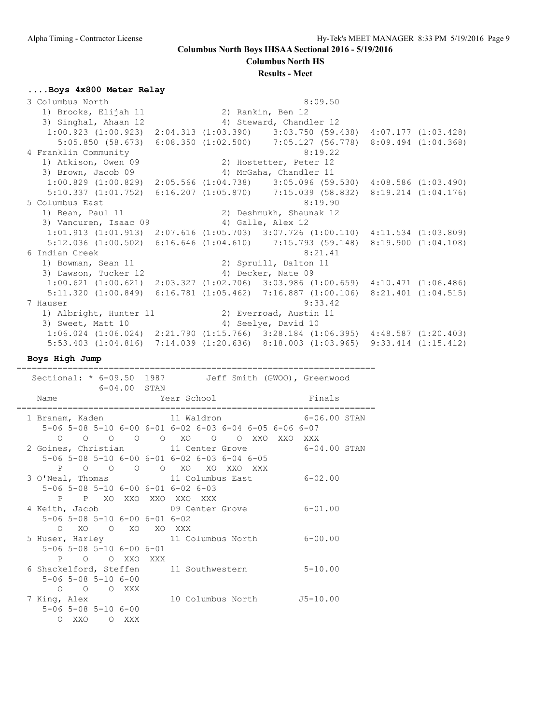**Columbus North HS**

#### **Results - Meet**

#### **....Boys 4x800 Meter Relay**

 3 Columbus North 8:09.50 1) Brooks, Elijah 11 2) Rankin, Ben 12 3) Singhal, Ahaan 12 4) Steward, Chandler 12 1:00.923 (1:00.923) 2:04.313 (1:03.390) 3:03.750 (59.438) 4:07.177 (1:03.428) 5:05.850 (58.673) 6:08.350 (1:02.500) 7:05.127 (56.778) 8:09.494 (1:04.368) 4 Franklin Community 8:19.22 1) Atkison, Owen 09 2) Hostetter, Peter 12 3) Brown, Jacob 09 4) McGaha, Chandler 11 1:00.829 (1:00.829) 2:05.566 (1:04.738) 3:05.096 (59.530) 4:08.586 (1:03.490) 5:10.337 (1:01.752) 6:16.207 (1:05.870) 7:15.039 (58.832) 8:19.214 (1:04.176) 5 Columbus East 8:19.90 1) Bean, Paul 11 2) Deshmukh, Shaunak 12 3) Vancuren, Isaac 09 (4) Galle, Alex 12 1:01.913 (1:01.913) 2:07.616 (1:05.703) 3:07.726 (1:00.110) 4:11.534 (1:03.809) 5:12.036 (1:00.502) 6:16.646 (1:04.610) 7:15.793 (59.148) 8:19.900 (1:04.108) 6 Indian Creek 8:21.41 1) Bowman, Sean 11 2) Spruill, Dalton 11 3) Dawson, Tucker 12 (4) Decker, Nate 09 1:00.621 (1:00.621) 2:03.327 (1:02.706) 3:03.986 (1:00.659) 4:10.471 (1:06.486) 5:11.320 (1:00.849) 6:16.781 (1:05.462) 7:16.887 (1:00.106) 8:21.401 (1:04.515) 7 Hauser 9:33.42 1) Albright, Hunter 11 2) Everroad, Austin 11 3) Sweet, Matt 10 4) Seelye, David 10 1:06.024 (1:06.024) 2:21.790 (1:15.766) 3:28.184 (1:06.395) 4:48.587 (1:20.403) 5:53.403 (1:04.816) 7:14.039 (1:20.636) 8:18.003 (1:03.965) 9:33.414 (1:15.412)

**Boys High Jump** ======================================================================

| 6-04.00 STAN                                 | Sectional: * 6-09.50 1987 Jeff Smith (GWOO), Greenwood |             |
|----------------------------------------------|--------------------------------------------------------|-------------|
| Name                                         | Year School                                            | Finals      |
|                                              | 1 Branam, Kaden 11 Waldron 6-06.00 STAN                |             |
|                                              | 5-06 5-08 5-10 6-00 6-01 6-02 6-03 6-04 6-05 6-06 6-07 |             |
|                                              | 0 0 0 0 0 0 XO 0 0 XXO XXO XXX                         |             |
|                                              | 2 Goines, Christian 11 Center Grove 6-04.00 STAN       |             |
|                                              | 5-06 5-08 5-10 6-00 6-01 6-02 6-03 6-04 6-05           |             |
|                                              | P O O O O XO XO XXO XXX                                |             |
|                                              | 3 O'Neal, Thomas 11 Columbus East 6-02.00              |             |
| 5-06 5-08 5-10 6-00 6-01 6-02 6-03           |                                                        |             |
|                                              | P P XO XXO XXO XXO XXX                                 |             |
|                                              | 4 Keith, Jacob 09 Center Grove                         | $6 - 01.00$ |
| $5-06$ $5-08$ $5-10$ $6-00$ $6-01$ $6-02$    |                                                        |             |
| O XO O XO XO XXX                             |                                                        |             |
|                                              | 5 Huser, Harley 11 Columbus North                      | 6-00.00     |
| $5 - 06$ $5 - 08$ $5 - 10$ $6 - 00$ $6 - 01$ |                                                        |             |
| P O O XXO XXX                                |                                                        |             |
|                                              | 6 Shackelford, Steffen 11 Southwestern                 | $5 - 10.00$ |
| $5 - 06$ $5 - 08$ $5 - 10$ $6 - 00$          |                                                        |             |
| $O$ $O$ $O$ $XXX$                            |                                                        |             |
| 7 King, Alex                                 | 10 Columbus North J5-10.00                             |             |
| $5 - 06$ $5 - 08$ $5 - 10$ $6 - 00$          |                                                        |             |
| OXXO OXXX                                    |                                                        |             |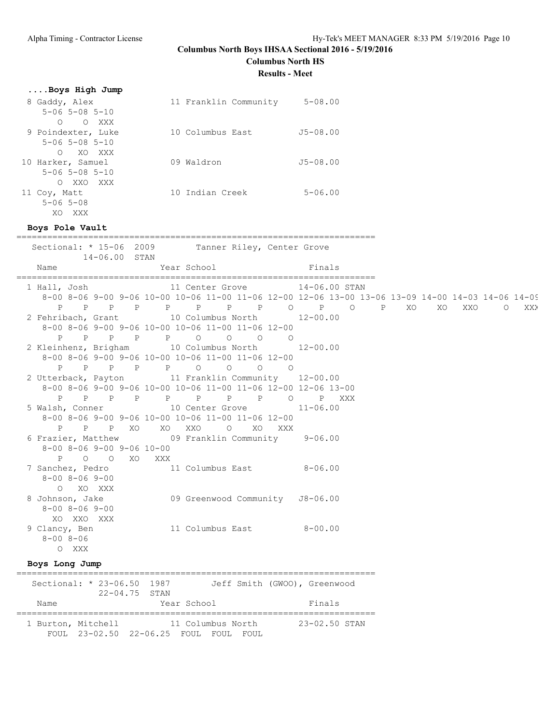**Columbus North HS**

**Results - Meet**

| Boys High Jump<br>8 Gaddy, Alex<br>$5 - 06$ $5 - 08$ $5 - 10$<br>O O XXX | 11 Franklin Community 5-08.00                                                                                                                                                                  |               |  |
|--------------------------------------------------------------------------|------------------------------------------------------------------------------------------------------------------------------------------------------------------------------------------------|---------------|--|
| 9 Poindexter, Luke<br>$5 - 06$ $5 - 08$ $5 - 10$<br>O XO XXX             | 10 Columbus East J5-08.00                                                                                                                                                                      |               |  |
| 10 Harker, Samuel<br>$5 - 06$ $5 - 08$ $5 - 10$<br>O XXO XXX             | 09 Waldron 55-08.00                                                                                                                                                                            |               |  |
| 11 Coy, Matt<br>$5 - 06$ $5 - 08$<br>XO XXX                              | 10 Indian Creek 5-06.00                                                                                                                                                                        |               |  |
| Boys Pole Vault                                                          |                                                                                                                                                                                                |               |  |
| $14 - 06.00$ STAN                                                        | Sectional: * 15-06 2009 Tanner Riley, Center Grove                                                                                                                                             |               |  |
| Name                                                                     | Year School                                                                                                                                                                                    | Finals        |  |
|                                                                          | 1 Hall, Josh 11 Center Grove 14-06.00 STAN<br>8-00 8-06 9-00 9-06 10-00 10-06 11-00 11-06 12-00 12-06 13-00 13-06 13-09 14-00 14-03 14-06 14-05                                                |               |  |
|                                                                          | P P P P P P P P P O P O P XO XO XXO O XXX<br>2 Fehribach, Grant 10 Columbus North 12-00.00<br>8-00 8-06 9-00 9-06 10-00 10-06 11-00 11-06 12-00                                                |               |  |
|                                                                          | 8-00 8-06 9-00 9-06 10-00 10-06 11-00 11-06 12-00<br>P P P P P O O O O                                                                                                                         |               |  |
|                                                                          | 2 Utterback, Payton 11 Franklin Community 12-00.00<br>8-00 8-06 9-00 9-06 10-00 10-06 11-00 11-06 12-00 12-06 13-00<br>P P P P P P P P P P O P XXX<br>5 Walsh, Conner 10 Center Grove 11-06.00 |               |  |
|                                                                          | 8-00 8-06 9-00 9-06 10-00 10-06 11-00 11-06 12-00<br>P P P XO XO XXO O XO XXX                                                                                                                  |               |  |
| $8 - 00$ $8 - 06$ $9 - 00$ $9 - 06$ $10 - 00$<br>P O O XO XXX            | 6 Frazier, Matthew 69 Franklin Community 9-06.00                                                                                                                                               |               |  |
| $8 - 00$ $8 - 06$ $9 - 00$<br>O XO XXX                                   | 7 Sanchez, Pedro 11 Columbus East 8-06.00                                                                                                                                                      |               |  |
| 8 Johnson, Jake<br>$8 - 00$ $8 - 06$ $9 - 00$<br>XO XXO XXX              | 09 Greenwood Community J8-06.00                                                                                                                                                                |               |  |
| 9 Clancy, Ben<br>$8 - 008 - 06$<br>O XXX                                 | 11 Columbus East 8-00.00                                                                                                                                                                       |               |  |
| Boys Long Jump                                                           |                                                                                                                                                                                                |               |  |
| 22-04.75 STAN                                                            | Sectional: * 23-06.50 1987 Jeff Smith (GWOO), Greenwood                                                                                                                                        |               |  |
| Name                                                                     | Year School                                                                                                                                                                                    | Finals        |  |
|                                                                          | 1 Burton, Mitchell 11 Columbus North<br>FOUL 23-02.50 22-06.25 FOUL FOUL FOUL                                                                                                                  | 23-02.50 STAN |  |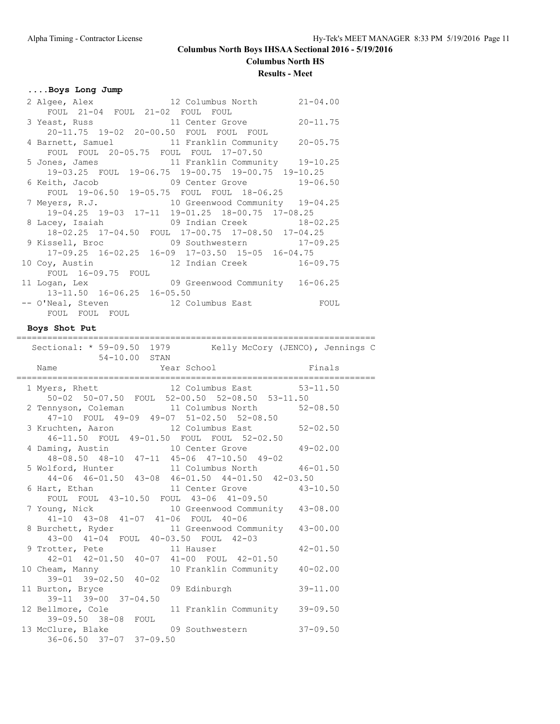### **Columbus North HS**

#### **Results - Meet**

#### **....Boys Long Jump**

| 2 Algee, Alex 12 Columbus North                   | $21 - 04.00$ |
|---------------------------------------------------|--------------|
| FOUL 21-04 FOUL 21-02 FOUL FOUL                   |              |
| 3 Yeast, Russ 11 Center Grove 20-11.75            |              |
| 20-11.75 19-02 20-00.50 FOUL FOUL FOUL            |              |
| 4 Barnett, Samuel 11 Franklin Community 20-05.75  |              |
| FOUL FOUL 20-05.75 FOUL FOUL 17-07.50             |              |
| 5 Jones, James 11 Franklin Community 19-10.25     |              |
| 19-03.25 FOUL 19-06.75 19-00.75 19-00.75 19-10.25 |              |
| 6 Keith, Jacob<br>09 Center Grove<br>19-06.50     |              |
| FOUL 19-06.50 19-05.75 FOUL FOUL 18-06.25         |              |
| 7 Meyers, R.J. 10 Greenwood Community 19-04.25    |              |
| 19-04.25 19-03 17-11 19-01.25 18-00.75 17-08.25   |              |
| 8 Lacey, Isaiah (18-02.25)                        |              |
| 18-02.25 17-04.50 FOUL 17-00.75 17-08.50 17-04.25 |              |
| 9 Kissell, Broc 69 Southwestern 17-09.25          |              |
| 17-09.25 16-02.25 16-09 17-03.50 15-05 16-04.75   |              |
| 10 Coy, Austin 12 Indian Creek 16-09.75           |              |
| FOUL 16-09.75 FOUL                                |              |
| 11 Logan, Lex 09 Greenwood Community 16-06.25     |              |
| 13-11.50 16-06.25 16-05.50                        |              |
| -- O'Neal, Steven 12 Columbus East                | FOUL         |
| FOUL FOUL FOUL                                    |              |

#### **Boys Shot Put**

Sectional: \* 59-09.50 1979 Kelly McCory (JENCO), Jennings C 54-10.00 STAN Name Year School Finals ====================================================================== 1 Myers, Rhett 12 Columbus East 53-11.50 50-02 50-07.50 FOUL 52-00.50 52-08.50 53-11.50 2 Tennyson, Coleman 11 Columbus North 52-08.50 47-10 FOUL 49-09 49-07 51-02.50 52-08.50 3 Kruchten, Aaron 12 Columbus East 52-02.50 46-11.50 FOUL 49-01.50 FOUL FOUL 52-02.50 4 Daming, Austin 10 Center Grove 49-02.00 48-08.50 48-10 47-11 45-06 47-10.50 49-02 5 Wolford, Hunter 11 Columbus North 46-01.50 44-06 46-01.50 43-08 46-01.50 44-01.50 42-03.50 6 Hart, Ethan 11 Center Grove 43-10.50 FOUL FOUL 43-10.50 FOUL 43-06 41-09.50 7 Young, Nick 10 Greenwood Community 43-08.00 41-10 43-08 41-07 41-06 FOUL 40-06 8 Burchett, Ryder 11 Greenwood Community 43-00.00 43-00 41-04 FOUL 40-03.50 FOUL 42-03 9 Trotter, Pete 11 Hauser 42-01.50 42-01 42-01.50 40-07 41-00 FOUL 42-01.50 10 Cheam, Manny 10 Franklin Community 40-02.00 39-01 39-02.50 40-02 11 Burton, Bryce 69 Edinburgh 39-11.00 39-11 39-00 37-04.50<br>12 Bellmore, Cole 11 Franklin Community 39-09.50 39-09.50 38-08 FOUL 13 McClure, Blake 09 Southwestern 37-09.50 36-06.50 37-07 37-09.50

======================================================================